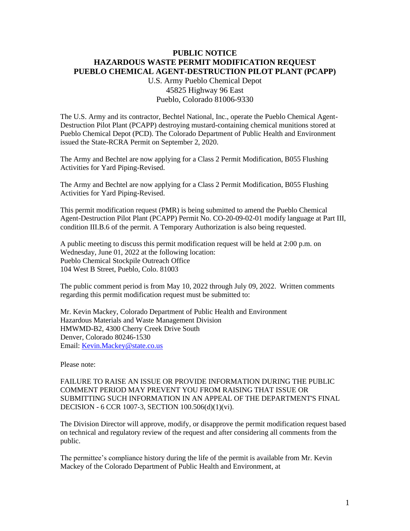## **PUBLIC NOTICE HAZARDOUS WASTE PERMIT MODIFICATION REQUEST PUEBLO CHEMICAL AGENT-DESTRUCTION PILOT PLANT (PCAPP)**

U.S. Army Pueblo Chemical Depot 45825 Highway 96 East Pueblo, Colorado 81006-9330

The U.S. Army and its contractor, Bechtel National, Inc., operate the Pueblo Chemical Agent-Destruction Pilot Plant (PCAPP) destroying mustard-containing chemical munitions stored at Pueblo Chemical Depot (PCD). The Colorado Department of Public Health and Environment issued the State-RCRA Permit on September 2, 2020.

The Army and Bechtel are now applying for a Class 2 Permit Modification, B055 Flushing Activities for Yard Piping-Revised.

The Army and Bechtel are now applying for a Class 2 Permit Modification, B055 Flushing Activities for Yard Piping-Revised.

This permit modification request (PMR) is being submitted to amend the Pueblo Chemical Agent-Destruction Pilot Plant (PCAPP) Permit No. CO-20-09-02-01 modify language at Part III, condition III.B.6 of the permit. A Temporary Authorization is also being requested.

A public meeting to discuss this permit modification request will be held at 2:00 p.m. on Wednesday, June 01, 2022 at the following location: Pueblo Chemical Stockpile Outreach Office 104 West B Street, Pueblo, Colo. 81003

The public comment period is from May 10, 2022 through July 09, 2022. Written comments regarding this permit modification request must be submitted to:

Mr. Kevin Mackey, Colorado Department of Public Health and Environment Hazardous Materials and Waste Management Division HMWMD-B2, 4300 Cherry Creek Drive South Denver, Colorado 80246-1530 Email: [Kevin.Mackey@state.co.us](mailto:Kevin.Mackey@state.co.us)

Please note:

FAILURE TO RAISE AN ISSUE OR PROVIDE INFORMATION DURING THE PUBLIC COMMENT PERIOD MAY PREVENT YOU FROM RAISING THAT ISSUE OR SUBMITTING SUCH INFORMATION IN AN APPEAL OF THE DEPARTMENT'S FINAL DECISION - 6 CCR 1007-3, SECTION 100.506(d)(1)(vi).

The Division Director will approve, modify, or disapprove the permit modification request based on technical and regulatory review of the request and after considering all comments from the public.

The permittee's compliance history during the life of the permit is available from Mr. Kevin Mackey of the Colorado Department of Public Health and Environment, at